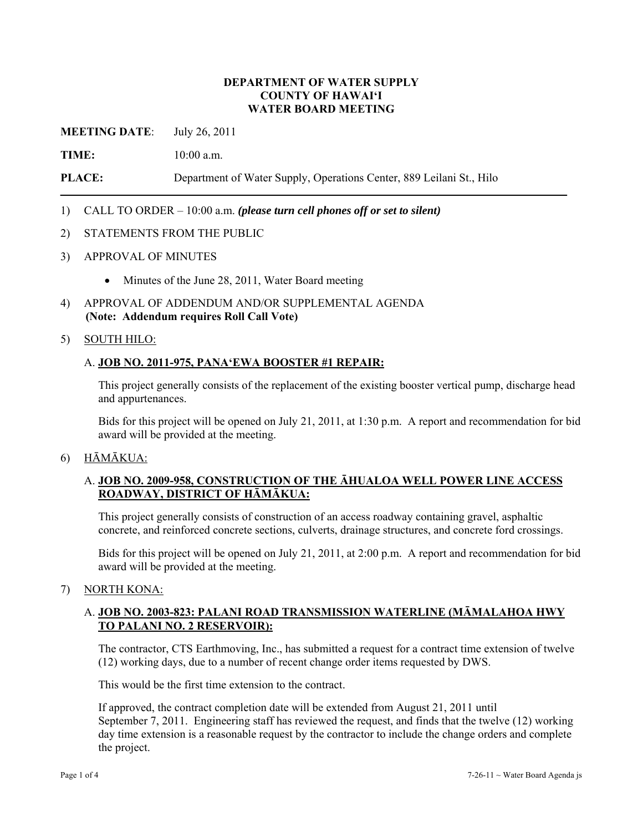# **DEPARTMENT OF WATER SUPPLY COUNTY OF HAWAI'I WATER BOARD MEETING**

**MEETING DATE**: July 26, 2011

**TIME:** 10:00 a.m.

**PLACE:** Department of Water Supply, Operations Center, 889 Leilani St., Hilo

# 1) CALL TO ORDER – 10:00 a.m. *(please turn cell phones off or set to silent)*

### 2) STATEMENTS FROM THE PUBLIC

- 3) APPROVAL OF MINUTES
	- Minutes of the June 28, 2011, Water Board meeting
- 4) APPROVAL OF ADDENDUM AND/OR SUPPLEMENTAL AGENDA **(Note: Addendum requires Roll Call Vote)**

### 5) SOUTH HILO:

### A. **JOB NO. 2011-975, PANA'EWA BOOSTER #1 REPAIR:**

This project generally consists of the replacement of the existing booster vertical pump, discharge head and appurtenances.

Bids for this project will be opened on July 21, 2011, at 1:30 p.m. A report and recommendation for bid award will be provided at the meeting.

#### 6) HĀMĀKUA:

# A. **JOB NO. 2009-958, CONSTRUCTION OF THE ĀHUALOA WELL POWER LINE ACCESS ROADWAY, DISTRICT OF HĀMĀKUA:**

This project generally consists of construction of an access roadway containing gravel, asphaltic concrete, and reinforced concrete sections, culverts, drainage structures, and concrete ford crossings.

Bids for this project will be opened on July 21, 2011, at 2:00 p.m. A report and recommendation for bid award will be provided at the meeting.

### 7) NORTH KONA:

# A. **JOB NO. 2003-823: PALANI ROAD TRANSMISSION WATERLINE (MĀMALAHOA HWY TO PALANI NO. 2 RESERVOIR):**

The contractor, CTS Earthmoving, Inc., has submitted a request for a contract time extension of twelve (12) working days, due to a number of recent change order items requested by DWS.

This would be the first time extension to the contract.

If approved, the contract completion date will be extended from August 21, 2011 until September 7, 2011. Engineering staff has reviewed the request, and finds that the twelve (12) working day time extension is a reasonable request by the contractor to include the change orders and complete the project.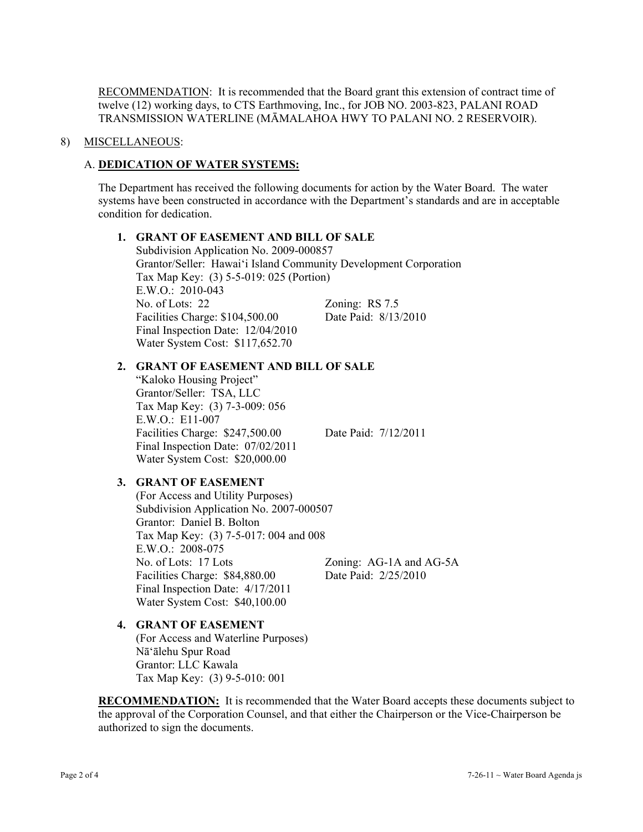**RECOMMENDATION:** It is recommended that the Board grant this extension of contract time of twelve (12) working days, to CTS Earthmoving, Inc., for JOB NO. 2003-823, PALANI ROAD TRANSMISSION WATERLINE (MĀMALAHOA HWY TO PALANI NO. 2 RESERVOIR).

### 8) MISCELLANEOUS:

# A. **DEDICATION OF WATER SYSTEMS:**

The Department has received the following documents for action by the Water Board. The water systems have been constructed in accordance with the Department's standards and are in acceptable condition for dedication.

### **1. GRANT OF EASEMENT AND BILL OF SALE**

 Subdivision Application No. 2009-000857 Grantor/Seller: Hawai'i Island Community Development Corporation Tax Map Key: (3) 5-5-019: 025 (Portion) E.W.O.: 2010-043 No. of Lots: 22 Zoning: RS 7.5 Facilities Charge: \$104,500.00 Date Paid: 8/13/2010 Final Inspection Date: 12/04/2010 Water System Cost: \$117,652.70

### **2. GRANT OF EASEMENT AND BILL OF SALE**

"Kaloko Housing Project" Grantor/Seller: TSA, LLC Tax Map Key: (3) 7-3-009: 056 E.W.O.: E11-007 Facilities Charge: \$247,500.00 Date Paid: 7/12/2011 Final Inspection Date: 07/02/2011 Water System Cost: \$20,000.00

# **3. GRANT OF EASEMENT**

(For Access and Utility Purposes) Subdivision Application No. 2007-000507 Grantor: Daniel B. Bolton Tax Map Key: (3) 7-5-017: 004 and 008 E.W.O.: 2008-075 No. of Lots: 17 Lots Zoning: AG-1A and AG-5A Facilities Charge: \$84,880.00 Date Paid: 2/25/2010 Final Inspection Date: 4/17/2011 Water System Cost: \$40,100.00

#### **4. GRANT OF EASEMENT**

(For Access and Waterline Purposes) Nā'ālehu Spur Road Grantor: LLC Kawala Tax Map Key: (3) 9-5-010: 001

**RECOMMENDATION:** It is recommended that the Water Board accepts these documents subject to the approval of the Corporation Counsel, and that either the Chairperson or the Vice-Chairperson be authorized to sign the documents.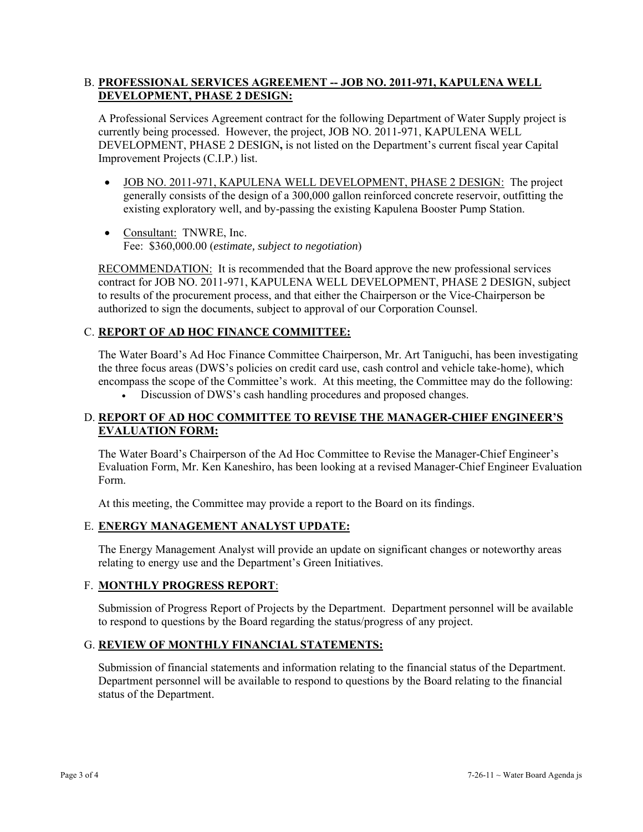# B. **PROFESSIONAL SERVICES AGREEMENT -- JOB NO. 2011-971, KAPULENA WELL DEVELOPMENT, PHASE 2 DESIGN:**

A Professional Services Agreement contract for the following Department of Water Supply project is currently being processed. However, the project, JOB NO. 2011-971, KAPULENA WELL DEVELOPMENT, PHASE 2 DESIGN**,** is not listed on the Department's current fiscal year Capital Improvement Projects (C.I.P.) list.

- JOB NO. 2011-971, KAPULENA WELL DEVELOPMENT, PHASE 2 DESIGN: The project generally consists of the design of a 300,000 gallon reinforced concrete reservoir, outfitting the existing exploratory well, and by-passing the existing Kapulena Booster Pump Station.
- Consultant: TNWRE, Inc. Fee: \$360,000.00 (*estimate, subject to negotiation*)

RECOMMENDATION: It is recommended that the Board approve the new professional services contract for JOB NO. 2011-971, KAPULENA WELL DEVELOPMENT, PHASE 2 DESIGN, subject to results of the procurement process, and that either the Chairperson or the Vice-Chairperson be authorized to sign the documents, subject to approval of our Corporation Counsel.

# C. **REPORT OF AD HOC FINANCE COMMITTEE:**

The Water Board's Ad Hoc Finance Committee Chairperson, Mr. Art Taniguchi, has been investigating the three focus areas (DWS's policies on credit card use, cash control and vehicle take-home), which encompass the scope of the Committee's work. At this meeting, the Committee may do the following:

Discussion of DWS's cash handling procedures and proposed changes.

# D. **REPORT OF AD HOC COMMITTEE TO REVISE THE MANAGER-CHIEF ENGINEER'S EVALUATION FORM:**

The Water Board's Chairperson of the Ad Hoc Committee to Revise the Manager-Chief Engineer's Evaluation Form, Mr. Ken Kaneshiro, has been looking at a revised Manager-Chief Engineer Evaluation Form.

At this meeting, the Committee may provide a report to the Board on its findings.

# E. **ENERGY MANAGEMENT ANALYST UPDATE:**

The Energy Management Analyst will provide an update on significant changes or noteworthy areas relating to energy use and the Department's Green Initiatives.

# F. **MONTHLY PROGRESS REPORT**:

Submission of Progress Report of Projects by the Department. Department personnel will be available to respond to questions by the Board regarding the status/progress of any project.

# G. **REVIEW OF MONTHLY FINANCIAL STATEMENTS:**

Submission of financial statements and information relating to the financial status of the Department. Department personnel will be available to respond to questions by the Board relating to the financial status of the Department.